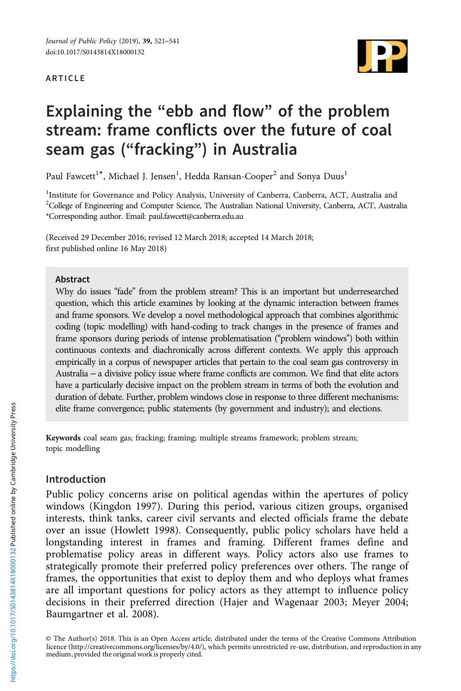## ARTICLE



# Explaining the "ebb and flow" of the problem stream: frame conflicts over the future of coal seam gas ("fracking") in Australia

Paul Fawcett<sup>1\*</sup>, Michael J. Jensen<sup>1</sup>, Hedda Ransan-Cooper<sup>2</sup> and Sonya Duus<sup>1</sup>

<sup>1</sup>Institute for Governance and Policy Analysis, University of Canberra, Canberra, ACT, Australia and <sup>2</sup>College of Engineering and Computer Science, The Australian National University, Canberra, ACT, Australia \*Corresponding author. Email: [paul.fawcett@canberra.edu.au](mailto:paul.fawcett@canberra.edu.au)

(Received 29 December 2016; revised 12 March 2018; accepted 14 March 2018; first published online 16 May 2018)

## Abstract

Why do issues "fade" from the problem stream? This is an important but underresearched question, which this article examines by looking at the dynamic interaction between frames and frame sponsors. We develop a novel methodological approach that combines algorithmic coding (topic modelling) with hand-coding to track changes in the presence of frames and frame sponsors during periods of intense problematisation ("problem windows") both within continuous contexts and diachronically across different contexts. We apply this approach empirically in a corpus of newspaper articles that pertain to the coal seam gas controversy in Australia – a divisive policy issue where frame conflicts are common. We find that elite actors have a particularly decisive impact on the problem stream in terms of both the evolution and duration of debate. Further, problem windows close in response to three different mechanisms: elite frame convergence; public statements (by government and industry); and elections.

Keywords coal seam gas; fracking; framing; multiple streams framework; problem stream; topic modelling

## Introduction

Public policy concerns arise on political agendas within the apertures of policy windows (Kingdon 1997). During this period, various citizen groups, organised interests, think tanks, career civil servants and elected officials frame the debate over an issue (Howlett 1998). Consequently, public policy scholars have held a longstanding interest in frames and framing. Different frames define and problematise policy areas in different ways. Policy actors also use frames to strategically promote their preferred policy preferences over others. The range of frames, the opportunities that exist to deploy them and who deploys what frames are all important questions for policy actors as they attempt to influence policy decisions in their preferred direction (Hajer and Wagenaar 2003; Meyer 2004; Baumgartner et al. 2008).

© The Author(s) 2018. This is an Open Access article, distributed under the terms of the Creative Commons Attribution licence (http://creativecommons.org/licenses/by/4.0/), which permits unrestricted re-use, distribution, and reproduction in any medium , provided the original work is properly cited.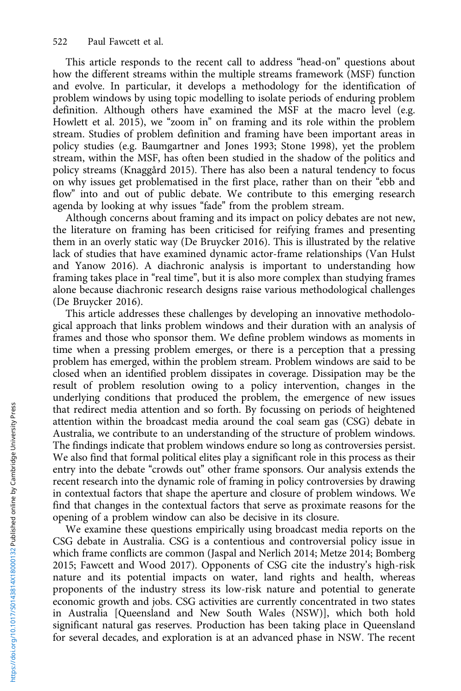This article responds to the recent call to address "head-on" questions about how the different streams within the multiple streams framework (MSF) function and evolve. In particular, it develops a methodology for the identification of problem windows by using topic modelling to isolate periods of enduring problem definition. Although others have examined the MSF at the macro level (e.g. Howlett et al. 2015), we "zoom in" on framing and its role within the problem stream. Studies of problem definition and framing have been important areas in policy studies (e.g. Baumgartner and Jones 1993; Stone 1998), yet the problem stream, within the MSF, has often been studied in the shadow of the politics and policy streams (Knaggård 2015). There has also been a natural tendency to focus on why issues get problematised in the first place, rather than on their "ebb and flow" into and out of public debate. We contribute to this emerging research agenda by looking at why issues "fade" from the problem stream.

Although concerns about framing and its impact on policy debates are not new, the literature on framing has been criticised for reifying frames and presenting them in an overly static way (De Bruycker 2016). This is illustrated by the relative lack of studies that have examined dynamic actor-frame relationships (Van Hulst and Yanow 2016). A diachronic analysis is important to understanding how framing takes place in "real time", but it is also more complex than studying frames alone because diachronic research designs raise various methodological challenges (De Bruycker 2016).

This article addresses these challenges by developing an innovative methodological approach that links problem windows and their duration with an analysis of frames and those who sponsor them. We define problem windows as moments in time when a pressing problem emerges, or there is a perception that a pressing problem has emerged, within the problem stream. Problem windows are said to be closed when an identified problem dissipates in coverage. Dissipation may be the result of problem resolution owing to a policy intervention, changes in the underlying conditions that produced the problem, the emergence of new issues that redirect media attention and so forth. By focussing on periods of heightened attention within the broadcast media around the coal seam gas (CSG) debate in Australia, we contribute to an understanding of the structure of problem windows. The findings indicate that problem windows endure so long as controversies persist. We also find that formal political elites play a significant role in this process as their entry into the debate "crowds out" other frame sponsors. Our analysis extends the recent research into the dynamic role of framing in policy controversies by drawing in contextual factors that shape the aperture and closure of problem windows. We find that changes in the contextual factors that serve as proximate reasons for the opening of a problem window can also be decisive in its closure.

We examine these questions empirically using broadcast media reports on the CSG debate in Australia. CSG is a contentious and controversial policy issue in which frame conflicts are common (Jaspal and Nerlich 2014; Metze 2014; Bomberg 2015; Fawcett and Wood 2017). Opponents of CSG cite the industry's high-risk nature and its potential impacts on water, land rights and health, whereas proponents of the industry stress its low-risk nature and potential to generate economic growth and jobs. CSG activities are currently concentrated in two states in Australia [Queensland and New South Wales (NSW)], which both hold significant natural gas reserves. Production has been taking place in Queensland for several decades, and exploration is at an advanced phase in NSW. The recent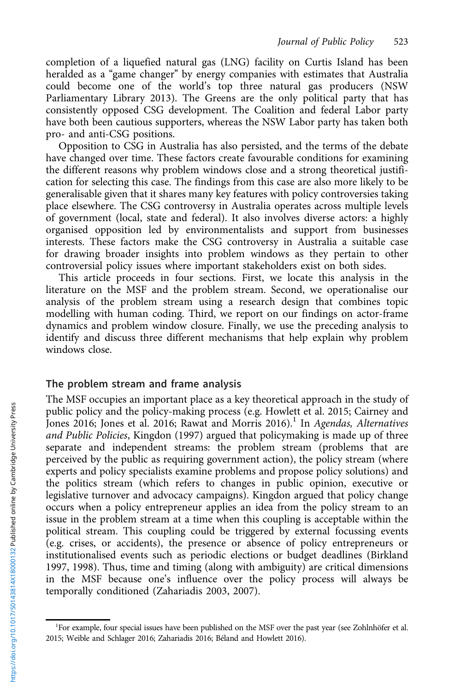completion of a liquefied natural gas (LNG) facility on Curtis Island has been heralded as a "game changer" by energy companies with estimates that Australia could become one of the world's top three natural gas producers (NSW Parliamentary Library 2013). The Greens are the only political party that has consistently opposed CSG development. The Coalition and federal Labor party have both been cautious supporters, whereas the NSW Labor party has taken both pro- and anti-CSG positions.

Opposition to CSG in Australia has also persisted, and the terms of the debate have changed over time. These factors create favourable conditions for examining the different reasons why problem windows close and a strong theoretical justification for selecting this case. The findings from this case are also more likely to be generalisable given that it shares many key features with policy controversies taking place elsewhere. The CSG controversy in Australia operates across multiple levels of government (local, state and federal). It also involves diverse actors: a highly organised opposition led by environmentalists and support from businesses interests. These factors make the CSG controversy in Australia a suitable case for drawing broader insights into problem windows as they pertain to other controversial policy issues where important stakeholders exist on both sides.

This article proceeds in four sections. First, we locate this analysis in the literature on the MSF and the problem stream. Second, we operationalise our analysis of the problem stream using a research design that combines topic modelling with human coding. Third, we report on our findings on actor-frame dynamics and problem window closure. Finally, we use the preceding analysis to identify and discuss three different mechanisms that help explain why problem windows close.

# The problem stream and frame analysis

The MSF occupies an important place as a key theoretical approach in the study of public policy and the policy-making process (e.g. Howlett et al. 2015; Cairney and Jones 2016; Jones et al. 2016; Rawat and Morris 2016).<sup>1</sup> In Agendas, Alternatives and Public Policies, Kingdon (1997) argued that policymaking is made up of three separate and independent streams: the problem stream (problems that are perceived by the public as requiring government action), the policy stream (where experts and policy specialists examine problems and propose policy solutions) and the politics stream (which refers to changes in public opinion, executive or legislative turnover and advocacy campaigns). Kingdon argued that policy change occurs when a policy entrepreneur applies an idea from the policy stream to an issue in the problem stream at a time when this coupling is acceptable within the political stream. This coupling could be triggered by external focussing events (e.g. crises, or accidents), the presence or absence of policy entrepreneurs or institutionalised events such as periodic elections or budget deadlines (Birkland 1997, 1998). Thus, time and timing (along with ambiguity) are critical dimensions in the MSF because one's influence over the policy process will always be temporally conditioned (Zahariadis 2003, 2007).

<sup>&</sup>lt;sup>1</sup>For example, four special issues have been published on the MSF over the past year (see Zohlnhöfer et al. 2015; Weible and Schlager 2016; Zahariadis 2016; Béland and Howlett 2016).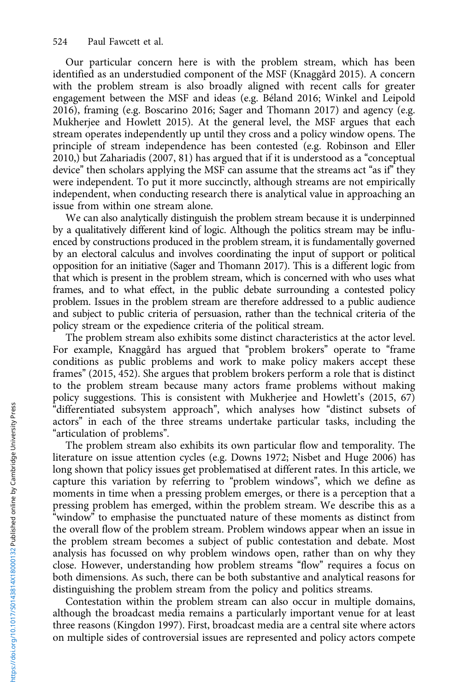Our particular concern here is with the problem stream, which has been identified as an understudied component of the MSF (Knaggård 2015). A concern with the problem stream is also broadly aligned with recent calls for greater engagement between the MSF and ideas (e.g. Béland 2016; Winkel and Leipold 2016), framing (e.g. Boscarino 2016; Sager and Thomann 2017) and agency (e.g. Mukherjee and Howlett 2015). At the general level, the MSF argues that each stream operates independently up until they cross and a policy window opens. The principle of stream independence has been contested (e.g. Robinson and Eller 2010,) but Zahariadis (2007, 81) has argued that if it is understood as a "conceptual device" then scholars applying the MSF can assume that the streams act "as if" they were independent. To put it more succinctly, although streams are not empirically independent, when conducting research there is analytical value in approaching an issue from within one stream alone.

We can also analytically distinguish the problem stream because it is underpinned by a qualitatively different kind of logic. Although the politics stream may be influenced by constructions produced in the problem stream, it is fundamentally governed by an electoral calculus and involves coordinating the input of support or political opposition for an initiative (Sager and Thomann 2017). This is a different logic from that which is present in the problem stream, which is concerned with who uses what frames, and to what effect, in the public debate surrounding a contested policy problem. Issues in the problem stream are therefore addressed to a public audience and subject to public criteria of persuasion, rather than the technical criteria of the policy stream or the expedience criteria of the political stream.

The problem stream also exhibits some distinct characteristics at the actor level. For example, Knaggård has argued that "problem brokers" operate to "frame conditions as public problems and work to make policy makers accept these frames" (2015, 452). She argues that problem brokers perform a role that is distinct to the problem stream because many actors frame problems without making policy suggestions. This is consistent with Mukherjee and Howlett's (2015, 67) "differentiated subsystem approach", which analyses how "distinct subsets of actors" in each of the three streams undertake particular tasks, including the "articulation of problems".

The problem stream also exhibits its own particular flow and temporality. The literature on issue attention cycles (e.g. Downs 1972; Nisbet and Huge 2006) has long shown that policy issues get problematised at different rates. In this article, we capture this variation by referring to "problem windows", which we define as moments in time when a pressing problem emerges, or there is a perception that a pressing problem has emerged, within the problem stream. We describe this as a "window" to emphasise the punctuated nature of these moments as distinct from the overall flow of the problem stream. Problem windows appear when an issue in the problem stream becomes a subject of public contestation and debate. Most analysis has focussed on why problem windows open, rather than on why they close. However, understanding how problem streams "flow" requires a focus on both dimensions. As such, there can be both substantive and analytical reasons for distinguishing the problem stream from the policy and politics streams.

Contestation within the problem stream can also occur in multiple domains, although the broadcast media remains a particularly important venue for at least three reasons (Kingdon 1997). First, broadcast media are a central site where actors on multiple sides of controversial issues are represented and policy actors compete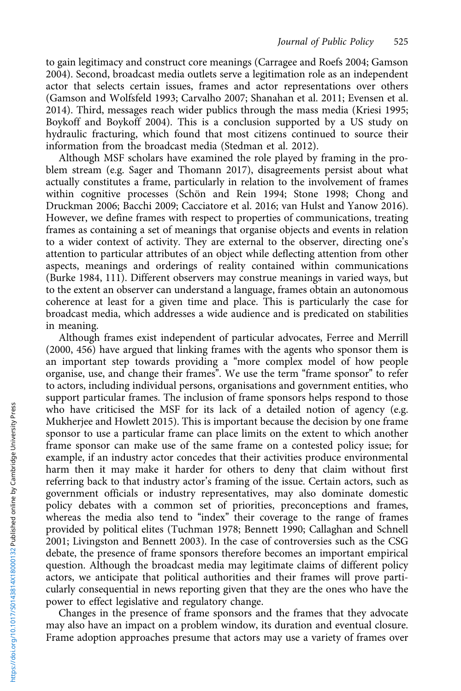to gain legitimacy and construct core meanings (Carragee and Roefs 2004; Gamson 2004). Second, broadcast media outlets serve a legitimation role as an independent actor that selects certain issues, frames and actor representations over others (Gamson and Wolfsfeld 1993; Carvalho 2007; Shanahan et al. 2011; Evensen et al. 2014). Third, messages reach wider publics through the mass media (Kriesi 1995; Boykoff and Boykoff 2004). This is a conclusion supported by a US study on hydraulic fracturing, which found that most citizens continued to source their information from the broadcast media (Stedman et al. 2012).

Although MSF scholars have examined the role played by framing in the problem stream (e.g. Sager and Thomann 2017), disagreements persist about what actually constitutes a frame, particularly in relation to the involvement of frames within cognitive processes (Schön and Rein 1994; Stone 1998; Chong and Druckman 2006; Bacchi 2009; Cacciatore et al. 2016; van Hulst and Yanow 2016). However, we define frames with respect to properties of communications, treating frames as containing a set of meanings that organise objects and events in relation to a wider context of activity. They are external to the observer, directing one's attention to particular attributes of an object while deflecting attention from other aspects, meanings and orderings of reality contained within communications (Burke 1984, 111). Different observers may construe meanings in varied ways, but to the extent an observer can understand a language, frames obtain an autonomous coherence at least for a given time and place. This is particularly the case for broadcast media, which addresses a wide audience and is predicated on stabilities in meaning.

Although frames exist independent of particular advocates, Ferree and Merrill (2000, 456) have argued that linking frames with the agents who sponsor them is an important step towards providing a "more complex model of how people organise, use, and change their frames". We use the term "frame sponsor" to refer to actors, including individual persons, organisations and government entities, who support particular frames. The inclusion of frame sponsors helps respond to those who have criticised the MSF for its lack of a detailed notion of agency (e.g. Mukherjee and Howlett 2015). This is important because the decision by one frame sponsor to use a particular frame can place limits on the extent to which another frame sponsor can make use of the same frame on a contested policy issue; for example, if an industry actor concedes that their activities produce environmental harm then it may make it harder for others to deny that claim without first referring back to that industry actor's framing of the issue. Certain actors, such as government officials or industry representatives, may also dominate domestic policy debates with a common set of priorities, preconceptions and frames, whereas the media also tend to "index" their coverage to the range of frames provided by political elites (Tuchman 1978; Bennett 1990; Callaghan and Schnell 2001; Livingston and Bennett 2003). In the case of controversies such as the CSG debate, the presence of frame sponsors therefore becomes an important empirical question. Although the broadcast media may legitimate claims of different policy actors, we anticipate that political authorities and their frames will prove particularly consequential in news reporting given that they are the ones who have the power to effect legislative and regulatory change.

Changes in the presence of frame sponsors and the frames that they advocate may also have an impact on a problem window, its duration and eventual closure. Frame adoption approaches presume that actors may use a variety of frames over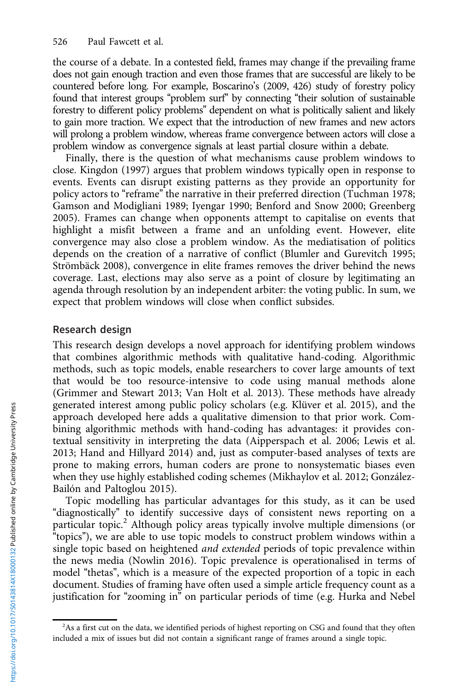the course of a debate. In a contested field, frames may change if the prevailing frame does not gain enough traction and even those frames that are successful are likely to be countered before long. For example, Boscarino's (2009, 426) study of forestry policy found that interest groups "problem surf" by connecting "their solution of sustainable forestry to different policy problems" dependent on what is politically salient and likely to gain more traction. We expect that the introduction of new frames and new actors will prolong a problem window, whereas frame convergence between actors will close a problem window as convergence signals at least partial closure within a debate.

Finally, there is the question of what mechanisms cause problem windows to close. Kingdon (1997) argues that problem windows typically open in response to events. Events can disrupt existing patterns as they provide an opportunity for policy actors to "reframe" the narrative in their preferred direction (Tuchman 1978; Gamson and Modigliani 1989; Iyengar 1990; Benford and Snow 2000; Greenberg 2005). Frames can change when opponents attempt to capitalise on events that highlight a misfit between a frame and an unfolding event. However, elite convergence may also close a problem window. As the mediatisation of politics depends on the creation of a narrative of conflict (Blumler and Gurevitch 1995; Strömbäck 2008), convergence in elite frames removes the driver behind the news coverage. Last, elections may also serve as a point of closure by legitimating an agenda through resolution by an independent arbiter: the voting public. In sum, we expect that problem windows will close when conflict subsides.

# Research design

This research design develops a novel approach for identifying problem windows that combines algorithmic methods with qualitative hand-coding. Algorithmic methods, such as topic models, enable researchers to cover large amounts of text that would be too resource-intensive to code using manual methods alone (Grimmer and Stewart 2013; Van Holt et al. 2013). These methods have already generated interest among public policy scholars (e.g. Klüver et al. 2015), and the approach developed here adds a qualitative dimension to that prior work. Combining algorithmic methods with hand-coding has advantages: it provides contextual sensitivity in interpreting the data (Aipperspach et al. 2006; Lewis et al. 2013; Hand and Hillyard 2014) and, just as computer-based analyses of texts are prone to making errors, human coders are prone to nonsystematic biases even when they use highly established coding schemes (Mikhaylov et al. 2012; González-Bailón and Paltoglou 2015).

Topic modelling has particular advantages for this study, as it can be used "diagnostically" to identify successive days of consistent news reporting on a particular topic.<sup>2</sup> Although policy areas typically involve multiple dimensions (or "topics"), we are able to use topic models to construct problem windows within a single topic based on heightened and extended periods of topic prevalence within the news media (Nowlin 2016). Topic prevalence is operationalised in terms of model "thetas", which is a measure of the expected proportion of a topic in each document. Studies of framing have often used a simple article frequency count as a justification for "zooming in" on particular periods of time (e.g. Hurka and Nebel

<sup>&</sup>lt;sup>2</sup>As a first cut on the data, we identified periods of highest reporting on CSG and found that they often included a mix of issues but did not contain a significant range of frames around a single topic.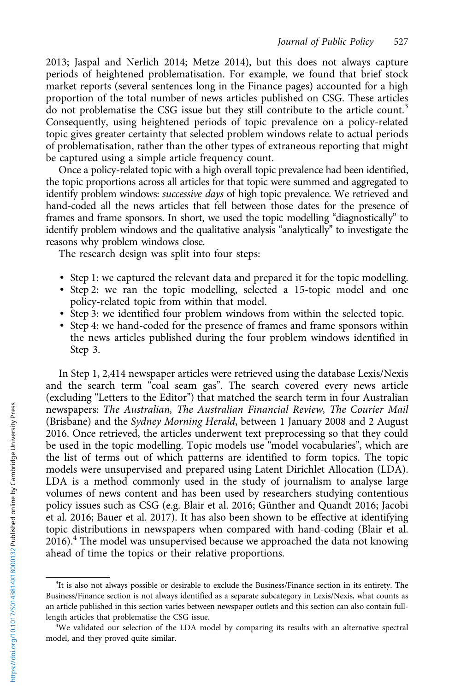2013; Jaspal and Nerlich 2014; Metze 2014), but this does not always capture periods of heightened problematisation. For example, we found that brief stock market reports (several sentences long in the Finance pages) accounted for a high proportion of the total number of news articles published on CSG. These articles do not problematise the CSG issue but they still contribute to the article count.<sup>3</sup> Consequently, using heightened periods of topic prevalence on a policy-related topic gives greater certainty that selected problem windows relate to actual periods of problematisation, rather than the other types of extraneous reporting that might be captured using a simple article frequency count.

Once a policy-related topic with a high overall topic prevalence had been identified, the topic proportions across all articles for that topic were summed and aggregated to identify problem windows: *successive days* of high topic prevalence. We retrieved and hand-coded all the news articles that fell between those dates for the presence of frames and frame sponsors. In short, we used the topic modelling "diagnostically" to identify problem windows and the qualitative analysis "analytically" to investigate the reasons why problem windows close.

The research design was split into four steps:

- ∙ Step 1: we captured the relevant data and prepared it for the topic modelling.
- ∙ Step 2: we ran the topic modelling, selected a 15-topic model and one policy-related topic from within that model.
- ∙ Step 3: we identified four problem windows from within the selected topic.
- ∙ Step 4: we hand-coded for the presence of frames and frame sponsors within the news articles published during the four problem windows identified in Step 3.

In Step 1, 2,414 newspaper articles were retrieved using the database Lexis/Nexis and the search term "coal seam gas". The search covered every news article (excluding "Letters to the Editor") that matched the search term in four Australian newspapers: The Australian, The Australian Financial Review, The Courier Mail (Brisbane) and the Sydney Morning Herald, between 1 January 2008 and 2 August 2016. Once retrieved, the articles underwent text preprocessing so that they could be used in the topic modelling. Topic models use "model vocabularies", which are the list of terms out of which patterns are identified to form topics. The topic models were unsupervised and prepared using Latent Dirichlet Allocation (LDA). LDA is a method commonly used in the study of journalism to analyse large volumes of news content and has been used by researchers studying contentious policy issues such as CSG (e.g. Blair et al. 2016; Günther and Quandt 2016; Jacobi et al. 2016; Bauer et al. 2017). It has also been shown to be effective at identifying topic distributions in newspapers when compared with hand-coding (Blair et al.  $2016$ .<sup>4</sup> The model was unsupervised because we approached the data not knowing ahead of time the topics or their relative proportions.

<sup>&</sup>lt;sup>3</sup>It is also not always possible or desirable to exclude the Business/Finance section in its entirety. The Business/Finance section is not always identified as a separate subcategory in Lexis/Nexis, what counts as an article published in this section varies between newspaper outlets and this section can also contain fulllength articles that problematise the CSG issue.

<sup>&</sup>lt;sup>4</sup>We validated our selection of the LDA model by comparing its results with an alternative spectral model, and they proved quite similar.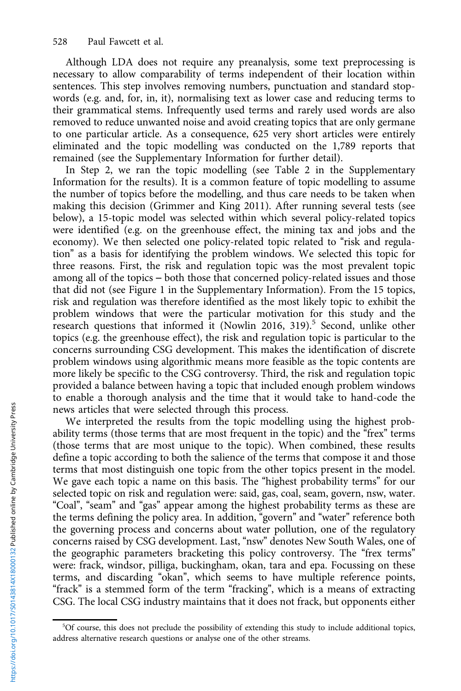Although LDA does not require any preanalysis, some text preprocessing is necessary to allow comparability of terms independent of their location within sentences. This step involves removing numbers, punctuation and standard stopwords (e.g. and, for, in, it), normalising text as lower case and reducing terms to their grammatical stems. Infrequently used terms and rarely used words are also removed to reduce unwanted noise and avoid creating topics that are only germane to one particular article. As a consequence, 625 very short articles were entirely eliminated and the topic modelling was conducted on the 1,789 reports that remained (see the Supplementary Information for further detail).

In Step 2, we ran the topic modelling (see Table 2 in the Supplementary Information for the results). It is a common feature of topic modelling to assume the number of topics before the modelling, and thus care needs to be taken when making this decision (Grimmer and King 2011). After running several tests (see below), a 15-topic model was selected within which several policy-related topics were identified (e.g. on the greenhouse effect, the mining tax and jobs and the economy). We then selected one policy-related topic related to "risk and regulation" as a basis for identifying the problem windows. We selected this topic for three reasons. First, the risk and regulation topic was the most prevalent topic among all of the topics – both those that concerned policy-related issues and those that did not (see Figure 1 in the Supplementary Information). From the 15 topics, risk and regulation was therefore identified as the most likely topic to exhibit the problem windows that were the particular motivation for this study and the research questions that informed it (Nowlin 2016, 319).<sup>5</sup> Second, unlike other topics (e.g. the greenhouse effect), the risk and regulation topic is particular to the concerns surrounding CSG development. This makes the identification of discrete problem windows using algorithmic means more feasible as the topic contents are more likely be specific to the CSG controversy. Third, the risk and regulation topic provided a balance between having a topic that included enough problem windows to enable a thorough analysis and the time that it would take to hand-code the news articles that were selected through this process.

We interpreted the results from the topic modelling using the highest probability terms (those terms that are most frequent in the topic) and the "frex" terms (those terms that are most unique to the topic). When combined, these results define a topic according to both the salience of the terms that compose it and those terms that most distinguish one topic from the other topics present in the model. We gave each topic a name on this basis. The "highest probability terms" for our selected topic on risk and regulation were: said, gas, coal, seam, govern, nsw, water. "Coal", "seam" and "gas" appear among the highest probability terms as these are the terms defining the policy area. In addition, "govern" and "water" reference both the governing process and concerns about water pollution, one of the regulatory concerns raised by CSG development. Last, "nsw" denotes New South Wales, one of the geographic parameters bracketing this policy controversy. The "frex terms" were: frack, windsor, pilliga, buckingham, okan, tara and epa. Focussing on these terms, and discarding "okan", which seems to have multiple reference points, "frack" is a stemmed form of the term "fracking", which is a means of extracting CSG. The local CSG industry maintains that it does not frack, but opponents either

<sup>&</sup>lt;sup>5</sup>Of course, this does not preclude the possibility of extending this study to include additional topics, address alternative research questions or analyse one of the other streams.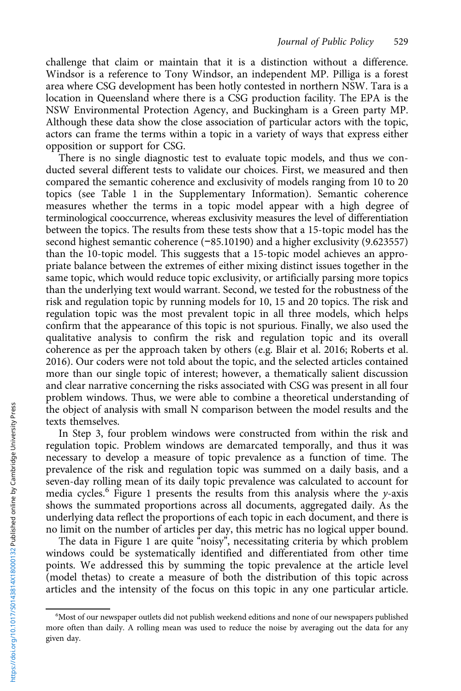challenge that claim or maintain that it is a distinction without a difference. Windsor is a reference to Tony Windsor, an independent MP. Pilliga is a forest area where CSG development has been hotly contested in northern NSW. Tara is a location in Queensland where there is a CSG production facility. The EPA is the NSW Environmental Protection Agency, and Buckingham is a Green party MP. Although these data show the close association of particular actors with the topic, actors can frame the terms within a topic in a variety of ways that express either opposition or support for CSG.

There is no single diagnostic test to evaluate topic models, and thus we conducted several different tests to validate our choices. First, we measured and then compared the semantic coherence and exclusivity of models ranging from 10 to 20 topics (see Table 1 in the Supplementary Information). Semantic coherence measures whether the terms in a topic model appear with a high degree of terminological cooccurrence, whereas exclusivity measures the level of differentiation between the topics. The results from these tests show that a 15-topic model has the second highest semantic coherence (−85.10190) and a higher exclusivity (9.623557) than the 10-topic model. This suggests that a 15-topic model achieves an appropriate balance between the extremes of either mixing distinct issues together in the same topic, which would reduce topic exclusivity, or artificially parsing more topics than the underlying text would warrant. Second, we tested for the robustness of the risk and regulation topic by running models for 10, 15 and 20 topics. The risk and regulation topic was the most prevalent topic in all three models, which helps confirm that the appearance of this topic is not spurious. Finally, we also used the qualitative analysis to confirm the risk and regulation topic and its overall coherence as per the approach taken by others (e.g. Blair et al. 2016; Roberts et al. 2016). Our coders were not told about the topic, and the selected articles contained more than our single topic of interest; however, a thematically salient discussion and clear narrative concerning the risks associated with CSG was present in all four problem windows. Thus, we were able to combine a theoretical understanding of the object of analysis with small N comparison between the model results and the texts themselves.

In Step 3, four problem windows were constructed from within the risk and regulation topic. Problem windows are demarcated temporally, and thus it was necessary to develop a measure of topic prevalence as a function of time. The prevalence of the risk and regulation topic was summed on a daily basis, and a seven-day rolling mean of its daily topic prevalence was calculated to account for media cycles.<sup>6</sup> Figure 1 presents the results from this analysis where the y-axis shows the summated proportions across all documents, aggregated daily. As the underlying data reflect the proportions of each topic in each document, and there is no limit on the number of articles per day, this metric has no logical upper bound.

The data in Figure 1 are quite "noisy", necessitating criteria by which problem windows could be systematically identified and differentiated from other time points. We addressed this by summing the topic prevalence at the article level (model thetas) to create a measure of both the distribution of this topic across articles and the intensity of the focus on this topic in any one particular article.

<sup>6</sup> Most of our newspaper outlets did not publish weekend editions and none of our newspapers published more often than daily. A rolling mean was used to reduce the noise by averaging out the data for any given day.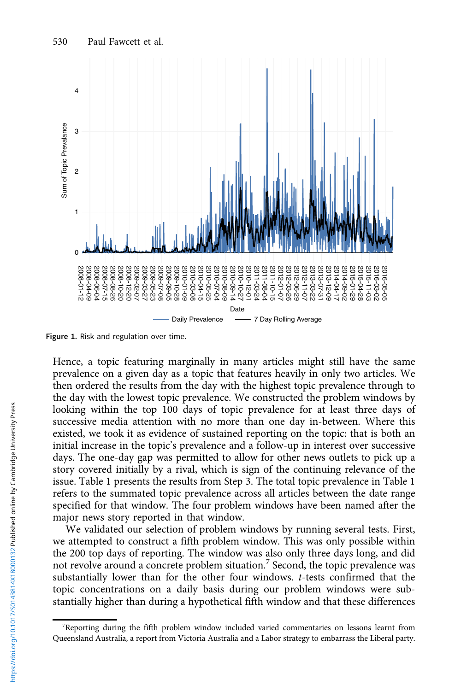

Figure 1. Risk and regulation over time.

Hence, a topic featuring marginally in many articles might still have the same prevalence on a given day as a topic that features heavily in only two articles. We then ordered the results from the day with the highest topic prevalence through to the day with the lowest topic prevalence. We constructed the problem windows by looking within the top 100 days of topic prevalence for at least three days of successive media attention with no more than one day in-between. Where this existed, we took it as evidence of sustained reporting on the topic: that is both an initial increase in the topic's prevalence and a follow-up in interest over successive days. The one-day gap was permitted to allow for other news outlets to pick up a story covered initially by a rival, which is sign of the continuing relevance of the issue. Table 1 presents the results from Step 3. The total topic prevalence in Table 1 refers to the summated topic prevalence across all articles between the date range specified for that window. The four problem windows have been named after the major news story reported in that window. stantially higher than during a hypothetical fifth window and that these differences 2008-01-12 2008-04-09 2008-06-04 2008-07-15 2008-08-26 2008-10-20 2008-12-20 2009-02-07 2009-03-27 2009-05-23 2009-07-08 2009-09-05 2009-10-28 2010-01-09 2010-03-08 2010-04-15 2010-05-25 2010-07-04 2010-08-09 2010-09-14 2010-10-27 2010-12-01 2011-03-24 2011-08-04 2011-10-15 2012-01-07 2012-03-26 2012-06-29 2012-11-07 2013-03-22 2013-07-31 2013-12-09 2014-04-17 2014-09-02 2015-01-29 2015-04-28 2015-11-03 2016-03-02 2016-05-05

We validated our selection of problem windows by running several tests. First, we attempted to construct a fifth problem window. This was only possible within the 200 top days of reporting. The window was also only three days long, and did not revolve around a concrete problem situation.<sup>7</sup> Second, the topic prevalence was substantially lower than for the other four windows. t-tests confirmed that the topic concentrations on a daily basis during our problem windows were sub-

<sup>&</sup>lt;sup>7</sup>Reporting during the fifth problem window included varied commentaries on lessons learnt from Queensland Australia, a report from Victoria Australia and a Labor strategy to embarrass the Liberal party.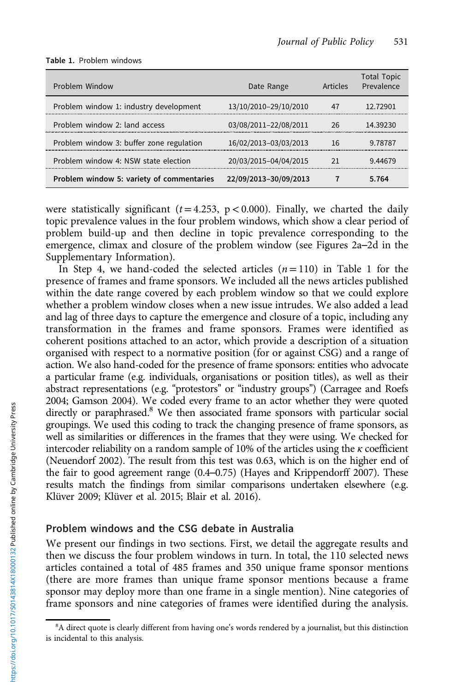| Problem Window                            | Date Range            | Articles | <b>Total Topic</b><br>Prevalence |
|-------------------------------------------|-----------------------|----------|----------------------------------|
| Problem window 1: industry development    | 13/10/2010-29/10/2010 | 47       | 72901                            |
| Problem window 2: land access             | 03/08/2011-22/08/2011 | 26       | 14.39230                         |
| Problem window 3: buffer zone regulation  | 16/02/2013-03/03/2013 | 16       | 9.78787                          |
| Problem window 4: NSW state election      | 20/03/2015-04/04/2015 |          | 9.44679                          |
| Problem window 5: variety of commentaries | 22/09/2013-30/09/2013 |          | 5 764                            |

#### Table 1. Problem windows

were statistically significant ( $t = 4.253$ ,  $p < 0.000$ ). Finally, we charted the daily topic prevalence values in the four problem windows, which show a clear period of problem build-up and then decline in topic prevalence corresponding to the emergence, climax and closure of the problem window (see Figures 2a–2d in the Supplementary Information).

In Step 4, we hand-coded the selected articles  $(n=110)$  in Table 1 for the presence of frames and frame sponsors. We included all the news articles published within the date range covered by each problem window so that we could explore whether a problem window closes when a new issue intrudes. We also added a lead and lag of three days to capture the emergence and closure of a topic, including any transformation in the frames and frame sponsors. Frames were identified as coherent positions attached to an actor, which provide a description of a situation organised with respect to a normative position (for or against CSG) and a range of action. We also hand-coded for the presence of frame sponsors: entities who advocate a particular frame (e.g. individuals, organisations or position titles), as well as their abstract representations (e.g. "protestors" or "industry groups") (Carragee and Roefs 2004; Gamson 2004). We coded every frame to an actor whether they were quoted directly or paraphrased.<sup>8</sup> We then associated frame sponsors with particular social groupings. We used this coding to track the changing presence of frame sponsors, as well as similarities or differences in the frames that they were using. We checked for intercoder reliability on a random sample of 10% of the articles using the  $\kappa$  coefficient (Neuendorf 2002). The result from this test was 0.63, which is on the higher end of the fair to good agreement range (0.4–0.75) (Hayes and Krippendorff 2007). These results match the findings from similar comparisons undertaken elsewhere (e.g. Klüver 2009; Klüver et al. 2015; Blair et al. 2016).

## Problem windows and the CSG debate in Australia

We present our findings in two sections. First, we detail the aggregate results and then we discuss the four problem windows in turn. In total, the 110 selected news articles contained a total of 485 frames and 350 unique frame sponsor mentions (there are more frames than unique frame sponsor mentions because a frame sponsor may deploy more than one frame in a single mention). Nine categories of frame sponsors and nine categories of frames were identified during the analysis.

<sup>&</sup>lt;sup>8</sup>A direct quote is clearly different from having one's words rendered by a journalist, but this distinction is incidental to this analysis.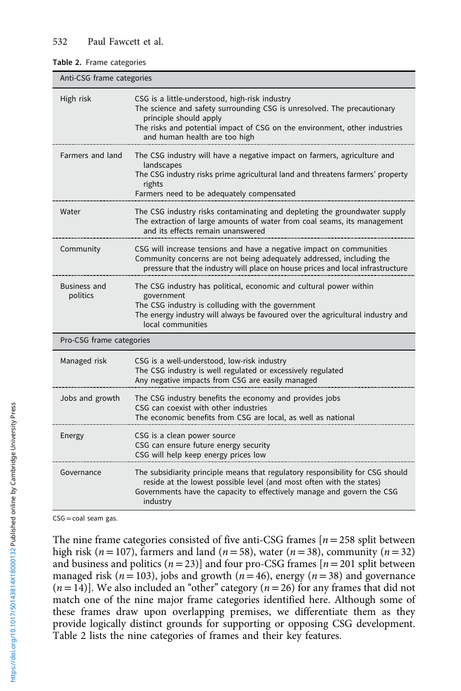### Table 2. Frame categories

| Anti-CSG frame categories       |                                                                                                                                                                                                                                                                    |  |
|---------------------------------|--------------------------------------------------------------------------------------------------------------------------------------------------------------------------------------------------------------------------------------------------------------------|--|
| High risk                       | CSG is a little-understood, high-risk industry<br>The science and safety surrounding CSG is unresolved. The precautionary<br>principle should apply<br>The risks and potential impact of CSG on the environment, other industries<br>and human health are too high |  |
| Farmers and land                | The CSG industry will have a negative impact on farmers, agriculture and<br>landscapes<br>The CSG industry risks prime agricultural land and threatens farmers' property<br>rights<br>Farmers need to be adequately compensated                                    |  |
| Water                           | The CSG industry risks contaminating and depleting the groundwater supply<br>The extraction of large amounts of water from coal seams, its management<br>and its effects remain unanswered                                                                         |  |
| Community                       | CSG will increase tensions and have a negative impact on communities<br>Community concerns are not being adequately addressed, including the<br>pressure that the industry will place on house prices and local infrastructure                                     |  |
| <b>Business and</b><br>politics | The CSG industry has political, economic and cultural power within<br>government<br>The CSG industry is colluding with the government<br>The energy industry will always be favoured over the agricultural industry and<br>local communities                       |  |
| Pro-CSG frame categories        |                                                                                                                                                                                                                                                                    |  |
| Managed risk                    | CSG is a well-understood, low-risk industry<br>The CSG industry is well regulated or excessively regulated<br>Any negative impacts from CSG are easily managed                                                                                                     |  |
| Jobs and growth                 | The CSG industry benefits the economy and provides jobs<br>CSG can coexist with other industries<br>The economic benefits from CSG are local, as well as national                                                                                                  |  |
| Energy                          | CSG is a clean power source<br>CSG can ensure future energy security<br>CSG will help keep energy prices low                                                                                                                                                       |  |
| Governance                      | The subsidiarity principle means that regulatory responsibility for CSG should<br>reside at the lowest possible level (and most often with the states)<br>Governments have the capacity to effectively manage and govern the CSG<br>industry                       |  |

 $CSG = coal$  seam gas.

The nine frame categories consisted of five anti-CSG frames  $[n=258$  split between high risk ( $n=107$ ), farmers and land ( $n=58$ ), water ( $n=38$ ), community ( $n=32$ ) and business and politics ( $n=23$ )] and four pro-CSG frames [ $n=201$  split between managed risk ( $n=103$ ), jobs and growth ( $n=46$ ), energy ( $n=38$ ) and governance  $(n=14)$ ]. We also included an "other" category ( $n=26$ ) for any frames that did not match one of the nine major frame categories identified here. Although some of these frames draw upon overlapping premises, we differentiate them as they provide logically distinct grounds for supporting or opposing CSG development. Table 2 lists the nine categories of frames and their key features.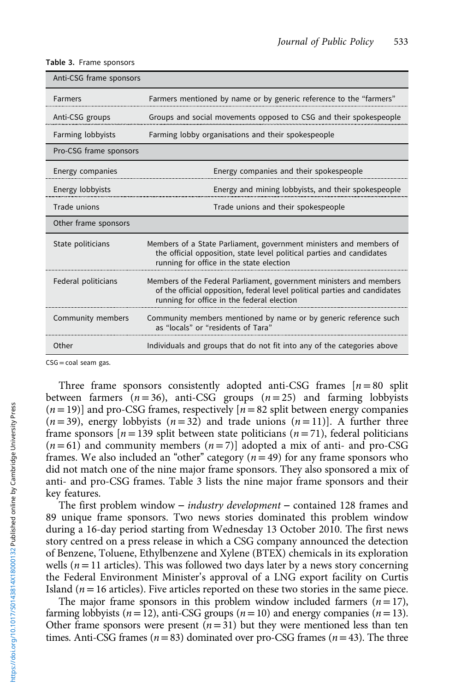| Anti-CSG frame sponsors |                                                                                                                                                                                                 |  |
|-------------------------|-------------------------------------------------------------------------------------------------------------------------------------------------------------------------------------------------|--|
| Farmers                 | Farmers mentioned by name or by generic reference to the "farmers"                                                                                                                              |  |
| Anti-CSG groups         | Groups and social movements opposed to CSG and their spokespeople                                                                                                                               |  |
| Farming lobbyists       | Farming lobby organisations and their spokespeople                                                                                                                                              |  |
| Pro-CSG frame sponsors  |                                                                                                                                                                                                 |  |
| Energy companies        | Energy companies and their spokespeople                                                                                                                                                         |  |
| Energy lobbyists        | Energy and mining lobbyists, and their spokespeople                                                                                                                                             |  |
| Trade unions            | Trade unions and their spokespeople                                                                                                                                                             |  |
| Other frame sponsors    |                                                                                                                                                                                                 |  |
| State politicians       | Members of a State Parliament, government ministers and members of<br>the official opposition, state level political parties and candidates<br>running for office in the state election         |  |
| Federal politicians     | Members of the Federal Parliament, government ministers and members<br>of the official opposition, federal level political parties and candidates<br>running for office in the federal election |  |
| Community members       | Community members mentioned by name or by generic reference such<br>as "locals" or "residents of Tara"                                                                                          |  |
| Other                   | Individuals and groups that do not fit into any of the categories above                                                                                                                         |  |

Table 3. Frame sponsors

 $CSG = coal$  seam gas.

Three frame sponsors consistently adopted anti-CSG frames  $[n=80$  split between farmers  $(n=36)$ , anti-CSG groups  $(n=25)$  and farming lobbyists  $(n=19)$ ] and pro-CSG frames, respectively  $[n=82$  split between energy companies  $(n=39)$ , energy lobbyists  $(n=32)$  and trade unions  $(n=11)$ ]. A further three frame sponsors  $[n=139$  split between state politicians  $(n=71)$ , federal politicians  $(n=61)$  and community members  $(n=7)$ ] adopted a mix of anti- and pro-CSG frames. We also included an "other" category ( $n=49$ ) for any frame sponsors who did not match one of the nine major frame sponsors. They also sponsored a mix of anti- and pro-CSG frames. Table 3 lists the nine major frame sponsors and their key features.

The first problem window – industry development – contained 128 frames and 89 unique frame sponsors. Two news stories dominated this problem window during a 16-day period starting from Wednesday 13 October 2010. The first news story centred on a press release in which a CSG company announced the detection of Benzene, Toluene, Ethylbenzene and Xylene (BTEX) chemicals in its exploration wells ( $n=11$  articles). This was followed two days later by a news story concerning the Federal Environment Minister's approval of a LNG export facility on Curtis Island ( $n=16$  articles). Five articles reported on these two stories in the same piece.

The major frame sponsors in this problem window included farmers  $(n=17)$ , farming lobbyists ( $n=12$ ), anti-CSG groups ( $n=10$ ) and energy companies ( $n=13$ ). Other frame sponsors were present  $(n=31)$  but they were mentioned less than ten times. Anti-CSG frames ( $n=83$ ) dominated over pro-CSG frames ( $n=43$ ). The three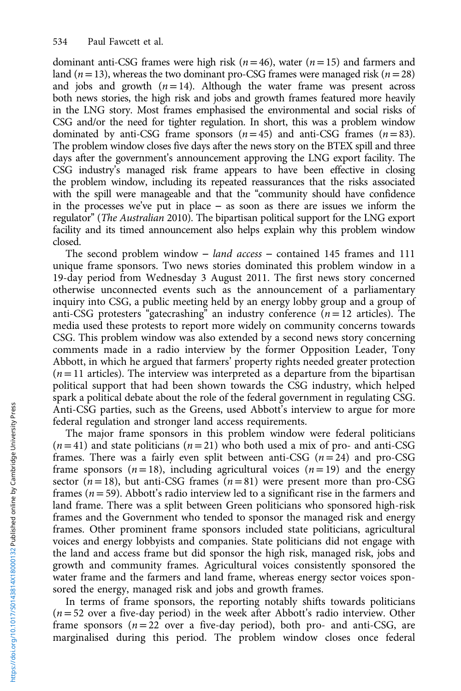dominant anti-CSG frames were high risk ( $n=46$ ), water ( $n=15$ ) and farmers and land ( $n=13$ ), whereas the two dominant pro-CSG frames were managed risk ( $n=28$ ) and jobs and growth  $(n=14)$ . Although the water frame was present across both news stories, the high risk and jobs and growth frames featured more heavily in the LNG story. Most frames emphasised the environmental and social risks of CSG and/or the need for tighter regulation. In short, this was a problem window dominated by anti-CSG frame sponsors ( $n=45$ ) and anti-CSG frames ( $n=83$ ). The problem window closes five days after the news story on the BTEX spill and three days after the government's announcement approving the LNG export facility. The CSG industry's managed risk frame appears to have been effective in closing the problem window, including its repeated reassurances that the risks associated with the spill were manageable and that the "community should have confidence in the processes we've put in place  $-$  as soon as there are issues we inform the regulator" (The Australian 2010). The bipartisan political support for the LNG export facility and its timed announcement also helps explain why this problem window closed.

The second problem window – land access – contained 145 frames and 111 unique frame sponsors. Two news stories dominated this problem window in a 19-day period from Wednesday 3 August 2011. The first news story concerned otherwise unconnected events such as the announcement of a parliamentary inquiry into CSG, a public meeting held by an energy lobby group and a group of anti-CSG protesters "gatecrashing" an industry conference  $(n=12 \text{ articles})$ . The media used these protests to report more widely on community concerns towards CSG. This problem window was also extended by a second news story concerning comments made in a radio interview by the former Opposition Leader, Tony Abbott, in which he argued that farmers' property rights needed greater protection  $(n=11$  articles). The interview was interpreted as a departure from the bipartisan political support that had been shown towards the CSG industry, which helped spark a political debate about the role of the federal government in regulating CSG. Anti-CSG parties, such as the Greens, used Abbott's interview to argue for more federal regulation and stronger land access requirements.

The major frame sponsors in this problem window were federal politicians  $(n=41)$  and state politicians  $(n=21)$  who both used a mix of pro- and anti-CSG frames. There was a fairly even split between anti-CSG  $(n=24)$  and pro-CSG frame sponsors ( $n=18$ ), including agricultural voices ( $n=19$ ) and the energy sector ( $n=18$ ), but anti-CSG frames ( $n=81$ ) were present more than pro-CSG frames ( $n = 59$ ). Abbott's radio interview led to a significant rise in the farmers and land frame. There was a split between Green politicians who sponsored high-risk frames and the Government who tended to sponsor the managed risk and energy frames. Other prominent frame sponsors included state politicians, agricultural voices and energy lobbyists and companies. State politicians did not engage with the land and access frame but did sponsor the high risk, managed risk, jobs and growth and community frames. Agricultural voices consistently sponsored the water frame and the farmers and land frame, whereas energy sector voices sponsored the energy, managed risk and jobs and growth frames.

In terms of frame sponsors, the reporting notably shifts towards politicians  $(n=52$  over a five-day period) in the week after Abbott's radio interview. Other frame sponsors ( $n=22$  over a five-day period), both pro- and anti-CSG, are marginalised during this period. The problem window closes once federal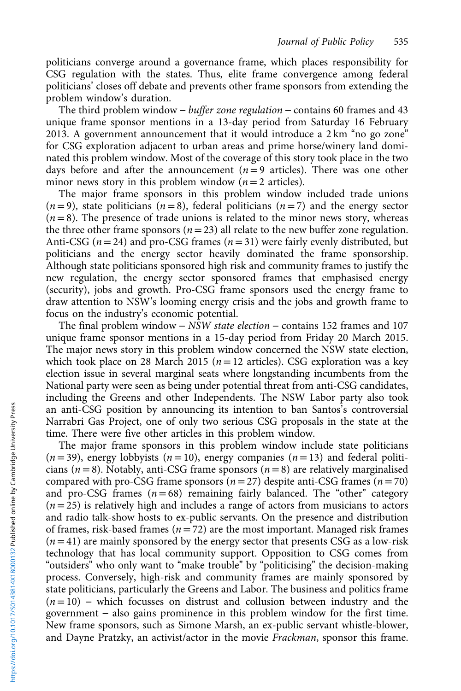politicians converge around a governance frame, which places responsibility for CSG regulation with the states. Thus, elite frame convergence among federal politicians' closes off debate and prevents other frame sponsors from extending the problem window's duration.

The third problem window – buffer zone regulation – contains 60 frames and 43 unique frame sponsor mentions in a 13-day period from Saturday 16 February 2013. A government announcement that it would introduce a 2 km "no go zone" for CSG exploration adjacent to urban areas and prime horse/winery land dominated this problem window. Most of the coverage of this story took place in the two days before and after the announcement ( $n=9$  articles). There was one other minor news story in this problem window ( $n=2$  articles).

The major frame sponsors in this problem window included trade unions  $(n=9)$ , state politicians  $(n=8)$ , federal politicians  $(n=7)$  and the energy sector  $(n=8)$ . The presence of trade unions is related to the minor news story, whereas the three other frame sponsors ( $n=23$ ) all relate to the new buffer zone regulation. Anti-CSG ( $n = 24$ ) and pro-CSG frames ( $n = 31$ ) were fairly evenly distributed, but politicians and the energy sector heavily dominated the frame sponsorship. Although state politicians sponsored high risk and community frames to justify the new regulation, the energy sector sponsored frames that emphasised energy (security), jobs and growth. Pro-CSG frame sponsors used the energy frame to draw attention to NSW's looming energy crisis and the jobs and growth frame to focus on the industry's economic potential.

The final problem window  $-$  NSW state election  $-$  contains 152 frames and 107 unique frame sponsor mentions in a 15-day period from Friday 20 March 2015. The major news story in this problem window concerned the NSW state election, which took place on 28 March 2015 ( $n=12$  articles). CSG exploration was a key election issue in several marginal seats where longstanding incumbents from the National party were seen as being under potential threat from anti-CSG candidates, including the Greens and other Independents. The NSW Labor party also took an anti-CSG position by announcing its intention to ban Santos's controversial Narrabri Gas Project, one of only two serious CSG proposals in the state at the time. There were five other articles in this problem window.

The major frame sponsors in this problem window include state politicians  $(n=39)$ , energy lobbyists  $(n=10)$ , energy companies  $(n=13)$  and federal politicians ( $n=8$ ). Notably, anti-CSG frame sponsors ( $n=8$ ) are relatively marginalised compared with pro-CSG frame sponsors ( $n=27$ ) despite anti-CSG frames ( $n=70$ ) and pro-CSG frames  $(n=68)$  remaining fairly balanced. The "other" category  $(n=25)$  is relatively high and includes a range of actors from musicians to actors and radio talk-show hosts to ex-public servants. On the presence and distribution of frames, risk-based frames ( $n=72$ ) are the most important. Managed risk frames  $(n=41)$  are mainly sponsored by the energy sector that presents CSG as a low-risk technology that has local community support. Opposition to CSG comes from "outsiders" who only want to "make trouble" by "politicising" the decision-making process. Conversely, high-risk and community frames are mainly sponsored by state politicians, particularly the Greens and Labor. The business and politics frame  $(n=10)$  – which focusses on distrust and collusion between industry and the government – also gains prominence in this problem window for the first time. New frame sponsors, such as Simone Marsh, an ex-public servant whistle-blower, and Dayne Pratzky, an activist/actor in the movie Frackman, sponsor this frame.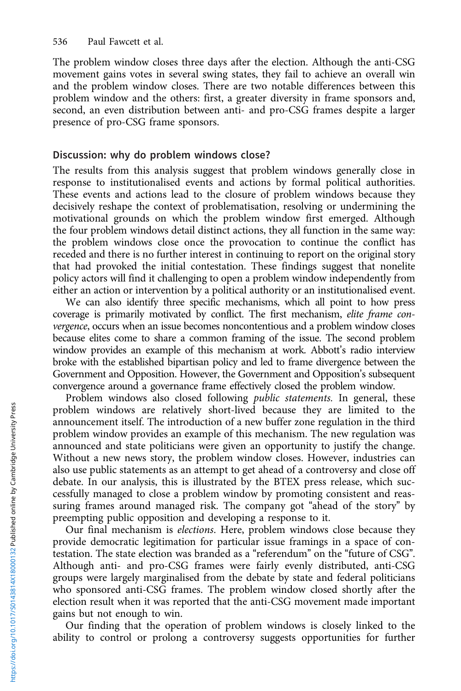The problem window closes three days after the election. Although the anti-CSG movement gains votes in several swing states, they fail to achieve an overall win and the problem window closes. There are two notable differences between this problem window and the others: first, a greater diversity in frame sponsors and, second, an even distribution between anti- and pro-CSG frames despite a larger presence of pro-CSG frame sponsors.

## Discussion: why do problem windows close?

The results from this analysis suggest that problem windows generally close in response to institutionalised events and actions by formal political authorities. These events and actions lead to the closure of problem windows because they decisively reshape the context of problematisation, resolving or undermining the motivational grounds on which the problem window first emerged. Although the four problem windows detail distinct actions, they all function in the same way: the problem windows close once the provocation to continue the conflict has receded and there is no further interest in continuing to report on the original story that had provoked the initial contestation. These findings suggest that nonelite policy actors will find it challenging to open a problem window independently from either an action or intervention by a political authority or an institutionalised event.

We can also identify three specific mechanisms, which all point to how press coverage is primarily motivated by conflict. The first mechanism, elite frame convergence, occurs when an issue becomes noncontentious and a problem window closes because elites come to share a common framing of the issue. The second problem window provides an example of this mechanism at work. Abbott's radio interview broke with the established bipartisan policy and led to frame divergence between the Government and Opposition. However, the Government and Opposition's subsequent convergence around a governance frame effectively closed the problem window.

Problem windows also closed following *public statements*. In general, these problem windows are relatively short-lived because they are limited to the announcement itself. The introduction of a new buffer zone regulation in the third problem window provides an example of this mechanism. The new regulation was announced and state politicians were given an opportunity to justify the change. Without a new news story, the problem window closes. However, industries can also use public statements as an attempt to get ahead of a controversy and close off debate. In our analysis, this is illustrated by the BTEX press release, which successfully managed to close a problem window by promoting consistent and reassuring frames around managed risk. The company got "ahead of the story" by preempting public opposition and developing a response to it.

Our final mechanism is elections. Here, problem windows close because they provide democratic legitimation for particular issue framings in a space of contestation. The state election was branded as a "referendum" on the "future of CSG". Although anti- and pro-CSG frames were fairly evenly distributed, anti-CSG groups were largely marginalised from the debate by state and federal politicians who sponsored anti-CSG frames. The problem window closed shortly after the election result when it was reported that the anti-CSG movement made important gains but not enough to win.

Our finding that the operation of problem windows is closely linked to the ability to control or prolong a controversy suggests opportunities for further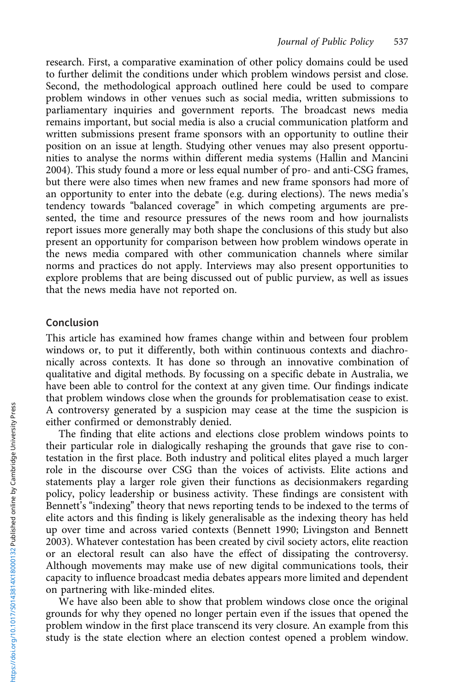research. First, a comparative examination of other policy domains could be used to further delimit the conditions under which problem windows persist and close. Second, the methodological approach outlined here could be used to compare problem windows in other venues such as social media, written submissions to parliamentary inquiries and government reports. The broadcast news media remains important, but social media is also a crucial communication platform and written submissions present frame sponsors with an opportunity to outline their position on an issue at length. Studying other venues may also present opportunities to analyse the norms within different media systems (Hallin and Mancini 2004). This study found a more or less equal number of pro- and anti-CSG frames, but there were also times when new frames and new frame sponsors had more of an opportunity to enter into the debate (e.g. during elections). The news media's tendency towards "balanced coverage" in which competing arguments are presented, the time and resource pressures of the news room and how journalists report issues more generally may both shape the conclusions of this study but also present an opportunity for comparison between how problem windows operate in the news media compared with other communication channels where similar norms and practices do not apply. Interviews may also present opportunities to explore problems that are being discussed out of public purview, as well as issues that the news media have not reported on.

## Conclusion

This article has examined how frames change within and between four problem windows or, to put it differently, both within continuous contexts and diachronically across contexts. It has done so through an innovative combination of qualitative and digital methods. By focussing on a specific debate in Australia, we have been able to control for the context at any given time. Our findings indicate that problem windows close when the grounds for problematisation cease to exist. A controversy generated by a suspicion may cease at the time the suspicion is either confirmed or demonstrably denied.

The finding that elite actions and elections close problem windows points to their particular role in dialogically reshaping the grounds that gave rise to contestation in the first place. Both industry and political elites played a much larger role in the discourse over CSG than the voices of activists. Elite actions and statements play a larger role given their functions as decisionmakers regarding policy, policy leadership or business activity. These findings are consistent with Bennett's "indexing" theory that news reporting tends to be indexed to the terms of elite actors and this finding is likely generalisable as the indexing theory has held up over time and across varied contexts (Bennett 1990; Livingston and Bennett 2003). Whatever contestation has been created by civil society actors, elite reaction or an electoral result can also have the effect of dissipating the controversy. Although movements may make use of new digital communications tools, their capacity to influence broadcast media debates appears more limited and dependent on partnering with like-minded elites.

We have also been able to show that problem windows close once the original grounds for why they opened no longer pertain even if the issues that opened the problem window in the first place transcend its very closure. An example from this study is the state election where an election contest opened a problem window.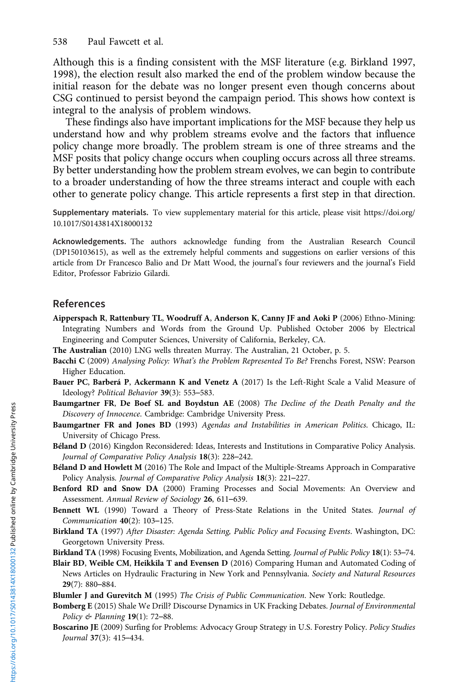Although this is a finding consistent with the MSF literature (e.g. Birkland 1997, 1998), the election result also marked the end of the problem window because the initial reason for the debate was no longer present even though concerns about CSG continued to persist beyond the campaign period. This shows how context is integral to the analysis of problem windows.

These findings also have important implications for the MSF because they help us understand how and why problem streams evolve and the factors that influence policy change more broadly. The problem stream is one of three streams and the MSF posits that policy change occurs when coupling occurs across all three streams. By better understanding how the problem stream evolves, we can begin to contribute to a broader understanding of how the three streams interact and couple with each other to generate policy change. This article represents a first step in that direction.

Supplementary materials. To view supplementary material for this article, please visit https://doi.org/ 10.1017/S0143814X18000132

Acknowledgements. The authors acknowledge funding from the Australian Research Council (DP150103615), as well as the extremely helpful comments and suggestions on earlier versions of this article from Dr Francesco Balio and Dr Matt Wood, the journal's four reviewers and the journal's Field Editor, Professor Fabrizio Gilardi.

## References

- Aipperspach R, Rattenbury TL, Woodruff A, Anderson K, Canny JF and Aoki P (2006) Ethno-Mining: Integrating Numbers and Words from the Ground Up. Published October 2006 by Electrical Engineering and Computer Sciences, University of California, Berkeley, CA.
- The Australian (2010) LNG wells threaten Murray. The Australian, 21 October, p. 5.
- Bacchi C (2009) Analysing Policy: What's the Problem Represented To Be? Frenchs Forest, NSW: Pearson Higher Education.
- Bauer PC, Barberá P, Ackermann K and Venetz A (2017) Is the Left-Right Scale a Valid Measure of Ideology? Political Behavior 39(3): 553–583.

Baumgartner FR, De Boef SL and Boydstun AE (2008) The Decline of the Death Penalty and the Discovery of Innocence. Cambridge: Cambridge University Press.

- Baumgartner FR and Jones BD (1993) Agendas and Instabilities in American Politics. Chicago, IL: University of Chicago Press.
- Béland D (2016) Kingdon Reconsidered: Ideas, Interests and Institutions in Comparative Policy Analysis. Journal of Comparative Policy Analysis 18(3): 228–242.
- Béland D and Howlett M (2016) The Role and Impact of the Multiple-Streams Approach in Comparative Policy Analysis. Journal of Comparative Policy Analysis 18(3): 221–227.
- Benford RD and Snow DA (2000) Framing Processes and Social Movements: An Overview and Assessment. Annual Review of Sociology 26, 611–639.
- Bennett WL (1990) Toward a Theory of Press-State Relations in the United States. Journal of Communication 40(2): 103–125.
- Birkland TA (1997) After Disaster: Agenda Setting, Public Policy and Focusing Events. Washington, DC: Georgetown University Press.
- Birkland TA (1998) Focusing Events, Mobilization, and Agenda Setting. Journal of Public Policy 18(1): 53–74.
- Blair BD, Weible CM, Heikkila T and Evensen D (2016) Comparing Human and Automated Coding of News Articles on Hydraulic Fracturing in New York and Pennsylvania. Society and Natural Resources 29(7): 880–884.

Blumler J and Gurevitch M (1995) The Crisis of Public Communication. New York: Routledge.

- Bomberg E (2015) Shale We Drill? Discourse Dynamics in UK Fracking Debates. Journal of Environmental Policy & Planning 19(1): 72–88.
- Boscarino JE (2009) Surfing for Problems: Advocacy Group Strategy in U.S. Forestry Policy. Policy Studies Journal 37(3): 415–434.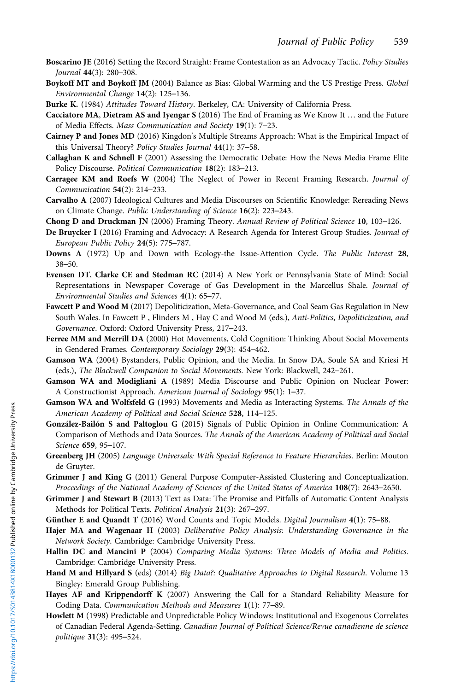- Boscarino JE (2016) Setting the Record Straight: Frame Contestation as an Advocacy Tactic. Policy Studies Journal 44(3): 280–308.
- Boykoff MT and Boykoff JM (2004) Balance as Bias: Global Warming and the US Prestige Press. Global Environmental Change 14(2): 125–136.
- Burke K. (1984) Attitudes Toward History. Berkeley, CA: University of California Press.
- Cacciatore MA, Dietram AS and Iyengar S (2016) The End of Framing as We Know It … and the Future of Media Effects. Mass Communication and Society 19(1): 7–23.
- Cairney P and Jones MD (2016) Kingdon's Multiple Streams Approach: What is the Empirical Impact of this Universal Theory? Policy Studies Journal 44(1): 37–58.
- Callaghan K and Schnell F (2001) Assessing the Democratic Debate: How the News Media Frame Elite Policy Discourse. Political Communication 18(2): 183–213.
- Carragee KM and Roefs W (2004) The Neglect of Power in Recent Framing Research. Journal of Communication 54(2): 214–233.
- Carvalho A (2007) Ideological Cultures and Media Discourses on Scientific Knowledge: Rereading News on Climate Change. Public Understanding of Science 16(2): 223–243.
- Chong D and Druckman JN (2006) Framing Theory. Annual Review of Political Science 10, 103–126.
- De Bruycker I (2016) Framing and Advocacy: A Research Agenda for Interest Group Studies. Journal of European Public Policy 24(5): 775–787.
- Downs A (1972) Up and Down with Ecology-the Issue-Attention Cycle. The Public Interest 28, 38–50.
- Evensen DT, Clarke CE and Stedman RC (2014) A New York or Pennsylvania State of Mind: Social Representations in Newspaper Coverage of Gas Development in the Marcellus Shale. Journal of Environmental Studies and Sciences 4(1): 65–77.
- Fawcett P and Wood M (2017) Depoliticization, Meta-Governance, and Coal Seam Gas Regulation in New South Wales. In Fawcett P, Flinders M, Hay C and Wood M (eds.), Anti-Politics, Depoliticization, and Governance. Oxford: Oxford University Press, 217–243.
- Ferree MM and Merrill DA (2000) Hot Movements, Cold Cognition: Thinking About Social Movements in Gendered Frames. Contemporary Sociology 29(3): 454–462.
- Gamson WA (2004) Bystanders, Public Opinion, and the Media. In Snow DA, Soule SA and Kriesi H (eds.), The Blackwell Companion to Social Movements. New York: Blackwell, 242–261.
- Gamson WA and Modigliani A (1989) Media Discourse and Public Opinion on Nuclear Power: A Constructionist Approach. American Journal of Sociology 95(1): 1–37.
- Gamson WA and Wolfsfeld G (1993) Movements and Media as Interacting Systems. The Annals of the American Academy of Political and Social Science 528, 114–125.
- González-Bailón S and Paltoglou G (2015) Signals of Public Opinion in Online Communication: A Comparison of Methods and Data Sources. The Annals of the American Academy of Political and Social Science 659, 95–107.
- Greenberg JH (2005) Language Universals: With Special Reference to Feature Hierarchies. Berlin: Mouton de Gruyter.
- Grimmer J and King G (2011) General Purpose Computer-Assisted Clustering and Conceptualization. Proceedings of the National Academy of Sciences of the United States of America 108(7): 2643–2650.
- Grimmer J and Stewart B (2013) Text as Data: The Promise and Pitfalls of Automatic Content Analysis Methods for Political Texts. Political Analysis 21(3): 267–297.
- Günther E and Quandt T (2016) Word Counts and Topic Models. Digital Journalism 4(1): 75-88.
- Hajer MA and Wagenaar H (2003) Deliberative Policy Analysis: Understanding Governance in the Network Society. Cambridge: Cambridge University Press.
- Hallin DC and Mancini P (2004) Comparing Media Systems: Three Models of Media and Politics. Cambridge: Cambridge University Press.
- Hand M and Hillyard S (eds) (2014) Big Data?: Qualitative Approaches to Digital Research. Volume 13 Bingley: Emerald Group Publishing.
- Hayes AF and Krippendorff K (2007) Answering the Call for a Standard Reliability Measure for Coding Data. Communication Methods and Measures 1(1): 77–89.
- Howlett M (1998) Predictable and Unpredictable Policy Windows: Institutional and Exogenous Correlates of Canadian Federal Agenda-Setting. Canadian Journal of Political Science/Revue canadienne de science politique 31(3): 495–524.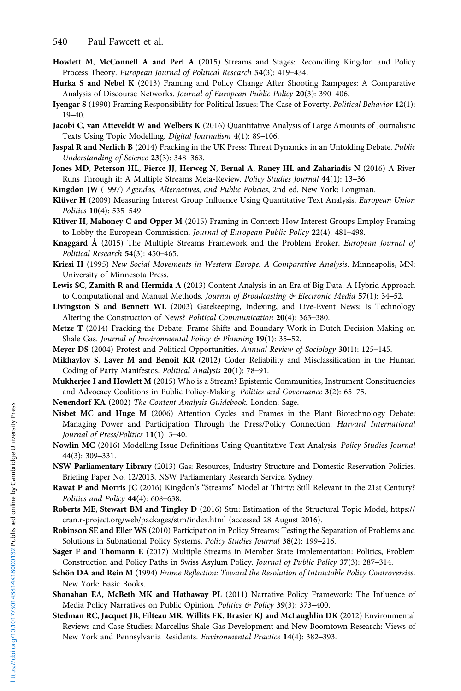- Howlett M, McConnell A and Perl A (2015) Streams and Stages: Reconciling Kingdon and Policy Process Theory. European Journal of Political Research 54(3): 419–434.
- Hurka S and Nebel K (2013) Framing and Policy Change After Shooting Rampages: A Comparative Analysis of Discourse Networks. Journal of European Public Policy 20(3): 390–406.
- Iyengar S (1990) Framing Responsibility for Political Issues: The Case of Poverty. Political Behavior 12(1): 19–40.
- Jacobi C, van Atteveldt W and Welbers K (2016) Quantitative Analysis of Large Amounts of Journalistic Texts Using Topic Modelling. Digital Journalism 4(1): 89–106.
- Jaspal R and Nerlich B (2014) Fracking in the UK Press: Threat Dynamics in an Unfolding Debate. Public Understanding of Science 23(3): 348–363.
- Jones MD, Peterson HL, Pierce JJ, Herweg N, Bernal A, Raney HL and Zahariadis N (2016) A River Runs Through it: A Multiple Streams Meta-Review. Policy Studies Journal 44(1): 13–36.
- Kingdon JW (1997) Agendas, Alternatives, and Public Policies, 2nd ed. New York: Longman.
- Klüver H (2009) Measuring Interest Group Influence Using Quantitative Text Analysis. European Union Politics 10(4): 535–549.
- Klüver H, Mahoney C and Opper M (2015) Framing in Context: How Interest Groups Employ Framing to Lobby the European Commission. Journal of European Public Policy 22(4): 481–498.
- Knaggård Å (2015) The Multiple Streams Framework and the Problem Broker. European Journal of Political Research 54(3): 450–465.
- Kriesi H (1995) New Social Movements in Western Europe: A Comparative Analysis. Minneapolis, MN: University of Minnesota Press.
- Lewis SC, Zamith R and Hermida A (2013) Content Analysis in an Era of Big Data: A Hybrid Approach to Computational and Manual Methods. Journal of Broadcasting & Electronic Media 57(1): 34–52.
- Livingston S and Bennett WL (2003) Gatekeeping, Indexing, and Live-Event News: Is Technology Altering the Construction of News? Political Communication 20(4): 363–380.
- Metze T (2014) Fracking the Debate: Frame Shifts and Boundary Work in Dutch Decision Making on Shale Gas. Journal of Environmental Policy & Planning 19(1): 35-52.
- Meyer DS (2004) Protest and Political Opportunities. Annual Review of Sociology 30(1): 125–145.
- Mikhaylov S, Laver M and Benoit KR (2012) Coder Reliability and Misclassification in the Human Coding of Party Manifestos. Political Analysis 20(1): 78–91.
- Mukherjee I and Howlett M (2015) Who is a Stream? Epistemic Communities, Instrument Constituencies and Advocacy Coalitions in Public Policy-Making. Politics and Governance 3(2): 65–75.
- Neuendorf KA (2002) The Content Analysis Guidebook. London: Sage.
- Nisbet MC and Huge M (2006) Attention Cycles and Frames in the Plant Biotechnology Debate: Managing Power and Participation Through the Press/Policy Connection. Harvard International Journal of Press/Politics 11(1): 3–40.
- Nowlin MC (2016) Modelling Issue Definitions Using Quantitative Text Analysis. Policy Studies Journal 44(3): 309–331.
- NSW Parliamentary Library (2013) Gas: Resources, Industry Structure and Domestic Reservation Policies. Briefing Paper No. 12/2013, NSW Parliamentary Research Service, Sydney.
- Rawat P and Morris JC (2016) Kingdon's "Streams" Model at Thirty: Still Relevant in the 21st Century? Politics and Policy 44(4): 608–638.
- Roberts ME, Stewart BM and Tingley D (2016) Stm: Estimation of the Structural Topic Model, [https://](https://cran.r-project.org/web/packages/stm/index.html) [cran.r-project.org/web/packages/stm/index.html](https://cran.r-project.org/web/packages/stm/index.html) (accessed 28 August 2016).
- Robinson SE and Eller WS (2010) Participation in Policy Streams: Testing the Separation of Problems and Solutions in Subnational Policy Systems. Policy Studies Journal 38(2): 199–216.
- Sager F and Thomann E (2017) Multiple Streams in Member State Implementation: Politics, Problem Construction and Policy Paths in Swiss Asylum Policy. Journal of Public Policy 37(3): 287–314.
- Schön DA and Rein M (1994) Frame Reflection: Toward the Resolution of Intractable Policy Controversies. New York: Basic Books.
- Shanahan EA, McBeth MK and Hathaway PL (2011) Narrative Policy Framework: The Influence of Media Policy Narratives on Public Opinion. Politics & Policy 39(3): 373-400.
- Stedman RC, Jacquet JB, Filteau MR, Willits FK, Brasier KJ and McLaughlin DK (2012) Environmental Reviews and Case Studies: Marcellus Shale Gas Development and New Boomtown Research: Views of New York and Pennsylvania Residents. Environmental Practice 14(4): 382–393.